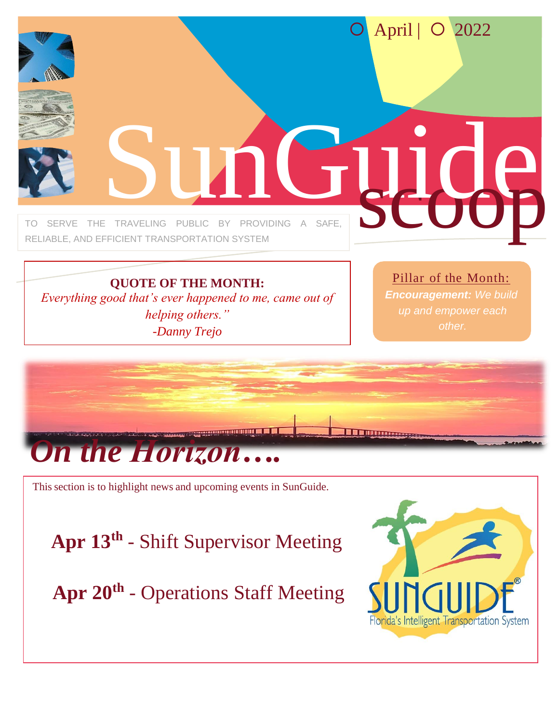

**QUOTE OF THE MONTH:** *Everything good that's ever happened to me, came out of helping others." -Danny Trejo*

Pillar of the Month:

*Encouragement: We build up and empower each* 



This section is to highlight news and upcoming events in SunGuide.

**Apr 13th** - Shift Supervisor Meeting

**Apr 20th** - Operations Staff Meeting

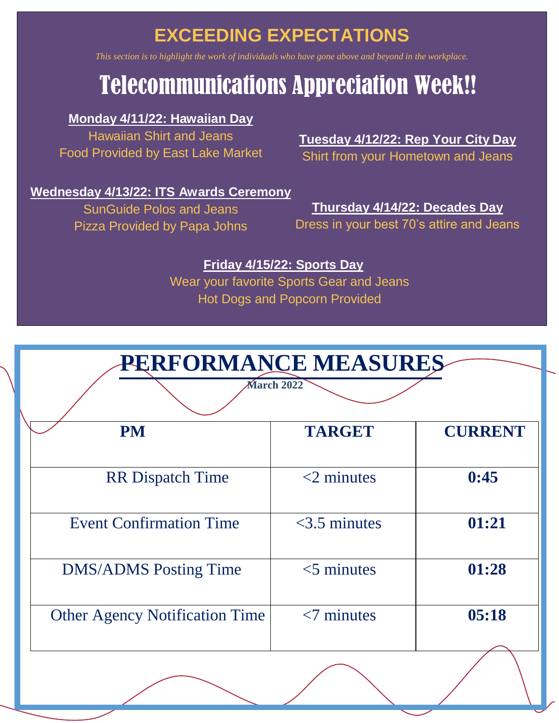# **EXCEEDING EXPECTATIONS**

*This section is to highlight the work of individuals who have gone above and beyond in the workplace.*

# Telecommunications Appreciation Week!!

### **Monday 4/11/22: Hawaiian Day**

Hawaiian Shirt and Jeans Food Provided by East Lake Market

## **Tuesday 4/12/22: Rep Your City Day**

Shirt from your Hometown and Jeans

### **Wednesday 4/13/22: ITS Awards Ceremony**

SunGuide Polos and Jeans Pizza Provided by Papa Johns

### **Thursday 4/14/22: Decades Day** Dress in your best 70's attire and Jeans

### **Friday 4/15/22: Sports Day**

Wear your favorite Sports Gear and Jeans Hot Dogs and Popcorn Provided

| <b>PERFORMANCE MEASURES</b>           |                 |                |
|---------------------------------------|-----------------|----------------|
| <b>March 2022</b>                     |                 |                |
| <b>PM</b>                             | <b>TARGET</b>   | <b>CURRENT</b> |
|                                       |                 |                |
| <b>RR</b> Dispatch Time               | $<$ 2 minutes   | 0:45           |
|                                       |                 |                |
| <b>Event Confirmation Time</b>        | $<$ 3.5 minutes | 01:21          |
|                                       |                 |                |
| <b>DMS/ADMS</b> Posting Time          | $<$ 5 minutes   | 01:28          |
|                                       |                 |                |
| <b>Other Agency Notification Time</b> | $< 7$ minutes   | 05:18          |
|                                       |                 |                |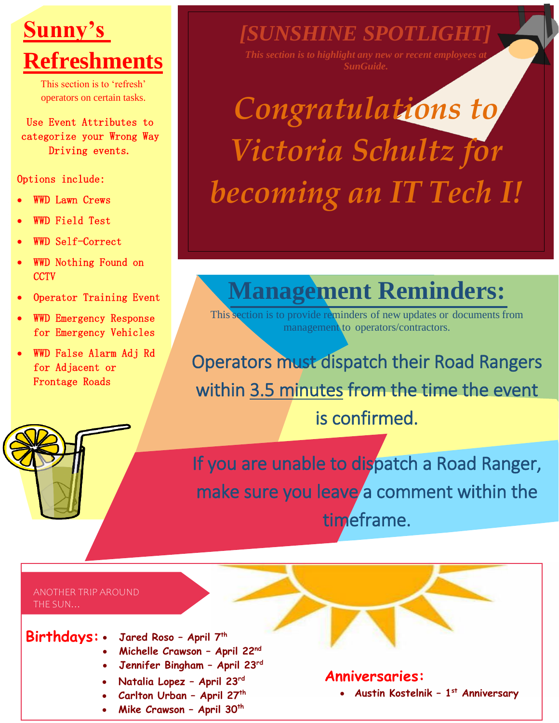### $\frac{1}{\sqrt{2}}$  $\frac{1}{2}$ **Sunny's Refreshments**

This section is to 'refresh' operators on certain tasks.

Use Event Attributes to categorize your Wrong Way Driving events.

### Options include:

- WWD Lawn Crews
- WWD Field Test
- WWD Self-Correct
- WWD Nothing Found on **CCTV**
- Operator Training Event
- WWD Emergency Response for Emergency Vehicles
- WWD False Alarm Adj Rd for Adjacent or Frontage Roads

*[SUNSHINE SPOTLIGHT]*

*SunGuide.*

# *Congratulations to Victoria Schultz for becoming an IT Tech I!*

# **Management Reminders:**

This section is to provide reminders of new updates or documents from management to operators/contractors.

Operators must dispatch their Road Rangers within 3.5 minutes from the time the event is confirmed.

If you are unable to dispatch a Road Ranger, make sure you leave a comment within the timeframe.

#### ANOTHER TRIP AROUND THE SUN…

- **Birthdays:** • **Jared Roso – April 7th** 
	- **Michelle Crawson – April 22nd**
	- **Jennifer Bingham – April 23rd**
	- **Natalia Lopez – April 23rd**
	- **Carlton Urban – April 27th**
	- **Mike Crawson – April 30th**

### **Anniversaries:**

• **Austin Kostelnik – 1 st Anniversary**